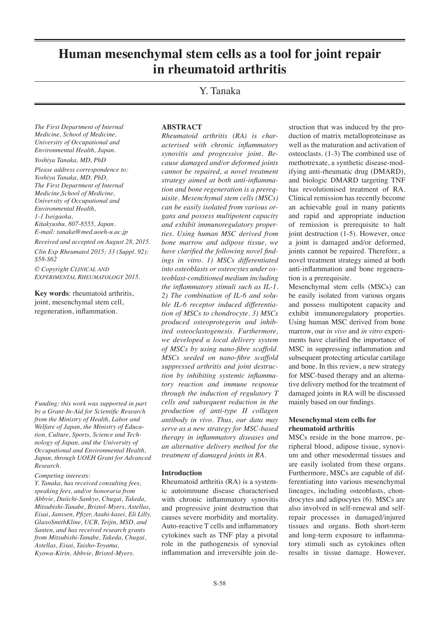# **Human mesenchymal stem cells as a tool for joint repair in rheumatoid arthritis**

# Y. Tanaka

*The First Department of Internal Medicine, School of Medicine, University of Occupational and Environmental Health, Japan.*

*Yoshiya Tanaka, MD, PhD*

*Please address correspondence to: Yoshiya Tanaka, MD, PhD, The First Department of Internal Medicine,School of Medicine, University of Occupational and Environmental Health, 1-1 Iseigaoka,* 

*Kitakyushu, 807-8555, Japan. E-mail: tanaka@med.uoeh-u.ac.jp*

*Received and accepted on August 28, 2015. Clin Exp Rheumatol 2015; 33 (Suppl. 92): S58-S62*

*© Copyright Clinical and Experimental Rheumatology 2015.*

**Key words**: rheumatoid arthritis, joint, mesenchymal stem cell, regeneration, inflammation.

*Funding: this work was supported in part by a Grant-In-Aid for Scientific Research from the Ministry of Health, Labor and Welfare of Japan, the Ministry of Education, Culture, Sports, Science and Technology of Japan, and the University of Occupational and Environmental Health, Japan, through UOEH Grant for Advanced Research.*

#### *Competing interests:*

*Y. Tanaka, has received consulting fees, speaking fees, and/or honoraria from Abbvie, Daiichi-Sankyo, Chugai, Takeda, Mitsubishi-Tanabe, Bristol-Myers, Astellas, Eisai, Janssen, Pfizer, Asahi-kasei, Eli Lilly, GlaxoSmithKline, UCB, Teijin, MSD, and Santen, and has received research grants from Mitsubishi-Tanabe, Takeda, Chugai, Astellas, Eisai, Taisho-Toyama, Kyowa-Kirin, Abbvie, Bristol-Myers.*

#### **ABSTRACT**

*Rheumatoid arthritis (RA) is characterised with chronic inflammatory synovitis and progressive joint. Because damaged and/or deformed joints cannot be repaired, a novel treatment strategy aimed at both anti-inflammation and bone regeneration is a prerequisite. Mesenchymal stem cells (MSCs) can be easily isolated from various organs and possess multipotent capacity and exhibit immunoregulatory properties. Using human MSC derived from bone marrow and adipose tissue, we have clarified the following novel findings in vitro. 1) MSCs differentiated into osteoblasts or osteocytes under osteoblast-conditioned medium including the inflammatory stimuli such as IL-1. 2) The combination of IL-6 and soluble IL-6 receptor induced differentiation of MSCs to chondrocyte. 3) MSCs produced osteoprotegerin and inhibited osteoclastogenesis. Furthermore, we developed a local delivery system of MSCs by using nano-fibre scaffold. MSCs seeded on nano-fibre scaffold suppressed arthritis and joint destruction by inhibiting systemic inflammatory reaction and immune response through the induction of regulatory T cells and subsequent reduction in the production of anti-type II collagen antibody in vivo. Thus, our data may serve as a new strategy for MSC-based therapy in inflammatory diseases and an alternative delivery method for the treatment of damaged joints in RA.*

#### **Introduction**

Rheumatoid arthritis (RA) is a systemic autoimmune disease characterised with chronic inflammatory synovitis and progressive joint destruction that causes severe morbidity and mortality. Auto-reactive T cells and inflammatory cytokines such as TNF play a pivotal role in the pathogenesis of synovial inflammation and irreversible join de-

struction that was induced by the production of matrix metalloproteinase as well as the maturation and activation of osteoclasts. (1-3) The combined use of methotrexate, a synthetic disease-modifying anti-rheumatic drug (DMARD), and biologic DMARD targeting TNF has revolutionised treatment of RA. Clinical remission has recently become an achievable goal in many patients and rapid and appropriate induction of remission is prerequisite to halt joint destruction (1-5). However, once a joint is damaged and/or deformed, joints cannot be repaired. Therefore, a novel treatment strategy aimed at both anti-inflammation and bone regeneration is a prerequisite.

Mesenchymal stem cells (MSCs) can be easily isolated from various organs and possess multipotent capacity and exhibit immunoregulatory properties. Using human MSC derived from bone marrow, our *in vivo* and *in vitro* experiments have clarified the importance of MSC in suppressing inflammation and subsequent protecting articular cartilage and bone. In this review, a new strategy for MSC-based therapy and an alternative delivery method for the treatment of damaged joints in RA will be discussed mainly based on our findings.

#### **Mesenchymal stem cells for rheumatoid arthritis**

MSCs reside in the bone marrow, peripheral blood, adipose tissue, synovium and other mesodermal tissues and are easily isolated from these organs. Furthermore, MSCs are capable of differentiating into various mesenchymal lineages, including osteoblasts, chondrocytes and adipocytes (6). MSCs are also involved in self-renewal and selfrepair processes in damaged/injured tissues and organs. Both short-term and long-term exposure to inflammatory stimuli such as cytokines often results in tissue damage. However,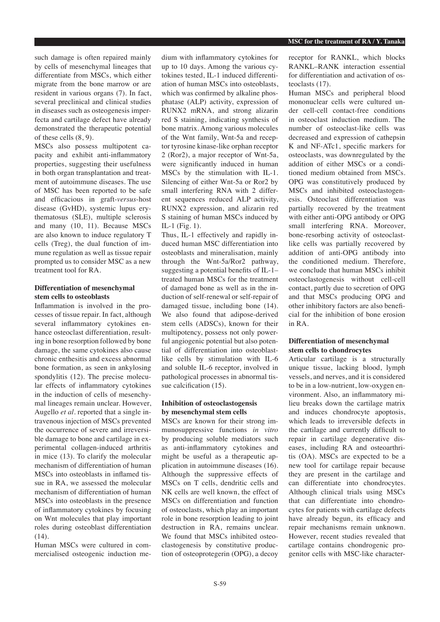such damage is often repaired mainly by cells of mesenchymal lineages that differentiate from MSCs, which either migrate from the bone marrow or are resident in various organs (7). In fact, several preclinical and clinical studies in diseases such as osteogenesis imperfecta and cartilage defect have already demonstrated the therapeutic potential of these cells (8, 9).

MSCs also possess multipotent capacity and exhibit anti-inflammatory properties, suggesting their usefulness in both organ transplantation and treatment of autoimmune diseases. The use of MSC has been reported to be safe and efficacious in graft-*versus*-host disease (GvHD), systemic lupus erythematosus (SLE), multiple sclerosis and many (10, 11). Because MSCs are also known to induce regulatory T cells (Treg), the dual function of immune regulation as well as tissue repair prompted us to consider MSC as a new treatment tool for RA.

# **Differentiation of mesenchymal stem cells to osteoblasts**

Inflammation is involved in the processes of tissue repair. In fact, although several inflammatory cytokines enhance osteoclast differentiation, resulting in bone resorption followed by bone damage, the same cytokines also cause chronic enthesitis and excess abnormal bone formation, as seen in ankylosing spondylitis (12). The precise molecular effects of inflammatory cytokines in the induction of cells of mesenchymal lineages remain unclear. However, Augello *et al.* reported that a single intravenous injection of MSCs prevented the occurrence of severe and irreversible damage to bone and cartilage in experimental collagen-induced arthritis in mice (13). To clarify the molecular mechanism of differentiation of human MSCs into osteoblasts in inflamed tissue in RA, we assessed the molecular mechanism of differentiation of human MSCs into osteoblasts in the presence of inflammatory cytokines by focusing on Wnt molecules that play important roles during osteoblast differentiation (14).

Human MSCs were cultured in commercialised osteogenic induction medium with inflammatory cytokines for up to 10 days. Among the various cytokines tested, IL-1 induced differentiation of human MSCs into osteoblasts, which was confirmed by alkaline phosphatase (ALP) activity, expression of RUNX2 mRNA, and strong alizarin red S staining, indicating synthesis of bone matrix. Among various molecules of the Wnt family, Wnt-5a and receptor tyrosine kinase-like orphan receptor 2 (Ror2), a major receptor of Wnt-5a, were significantly induced in human MSCs by the stimulation with IL-1. Silencing of either Wnt-5a or Ror2 by small interfering RNA with 2 different sequences reduced ALP activity, RUNX2 expression, and alizarin red S staining of human MSCs induced by IL-1 (Fig. 1).

Thus, IL-1 effectively and rapidly induced human MSC differentiation into osteoblasts and mineralisation, mainly through the Wnt-5a/Ror2 pathway, suggesting a potential benefits of IL-1– treated human MSCs for the treatment of damaged bone as well as in the induction of self-renewal or self-repair of damaged tissue, including bone (14). We also found that adipose-derived stem cells (ADSCs), known for their multipotency, possess not only powerful angiogenic potential but also potential of differentiation into osteoblastlike cells by stimulation with IL-6 and soluble IL-6 receptor, involved in pathological processes in abnormal tissue calcification (15).

#### **Inhibition of osteoclastogensis by mesenchymal stem cells**

MSCs are known for their strong immunosuppressive functions *in vitro* by producing soluble mediators such as anti-inflammatory cytokines and might be useful as a therapeutic application in autoimmune diseases (16). Although the suppressive effects of MSCs on T cells, dendritic cells and NK cells are well known, the effect of MSCs on differentiation and function of osteoclasts, which play an important role in bone resorption leading to joint destruction in RA, remains unclear. We found that MSCs inhibited osteoclastogenesis by constitutive production of osteoprotegerin (OPG), a decoy receptor for RANKL, which blocks RANKL–RANK interaction essential for differentiation and activation of osteoclasts (17).

Human MSCs and peripheral blood mononuclear cells were cultured under cell-cell contact-free conditions in osteoclast induction medium. The number of osteoclast-like cells was decreased and expression of cathepsin K and NF-ATc1, specific markers for osteoclasts, was downregulated by the addition of either MSCs or a conditioned medium obtained from MSCs. OPG was constitutively produced by MSCs and inhibited osteoclastogenesis. Osteoclast differentiation was partially recovered by the treatment with either anti-OPG antibody or OPG small interfering RNA. Moreover, bone-resorbing activity of osteoclastlike cells was partially recovered by addition of anti-OPG antibody into the conditioned medium. Therefore, we conclude that human MSCs inhibit osteoclastogenesis without cell-cell contact, partly due to secretion of OPG and that MSCs producing OPG and other inhibitory factors are also beneficial for the inhibition of bone erosion in RA.

#### **Differentiation of mesenchymal stem cells to chondrocytes**

Articular cartilage is a structurally unique tissue, lacking blood, lymph vessels, and nerves, and it is considered to be in a low-nutrient, low-oxygen environment. Also, an inflammatory milieu breaks down the cartilage matrix and induces chondrocyte apoptosis, which leads to irreversible defects in the cartilage and currently difficult to repair in cartilage degenerative diseases, including RA and osteoarthritis (OA). MSCs are expected to be a new tool for cartilage repair because they are present in the cartilage and can differentiate into chondrocytes. Although clinical trials using MSCs that can differentiate into chondrocytes for patients with cartilage defects have already begun, its efficacy and repair mechanisms remain unknown. However, recent studies revealed that cartilage contains chondrogenic progenitor cells with MSC-like character-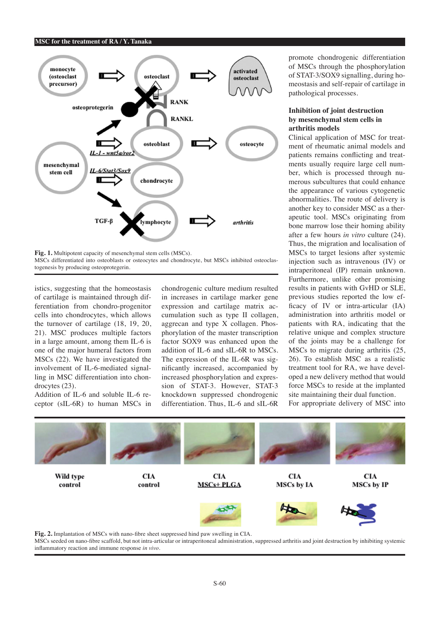#### **MSC for the treatment of RA / Y. Tanaka**



**Fig. 1.** Multipotent capacity of mesenchymal stem cells (MSCs). MSCs differentiated into osteoblasts or osteocytes and chondrocyte, but MSCs inhibited osteoclastogenesis by producing osteoprotegerin.

istics, suggesting that the homeostasis of cartilage is maintained through differentiation from chondro-progenitor cells into chondrocytes, which allows the turnover of cartilage (18, 19, 20, 21). MSC produces multiple factors in a large amount, among them IL-6 is one of the major humeral factors from MSCs (22). We have investigated the involvement of IL-6-mediated signalling in MSC differentiation into chondrocytes (23).

Addition of IL-6 and soluble IL-6 receptor (sIL-6R) to human MSCs in chondrogenic culture medium resulted in increases in cartilage marker gene expression and cartilage matrix accumulation such as type II collagen, aggrecan and type X collagen. Phosphorylation of the master transcription factor SOX9 was enhanced upon the addition of IL-6 and sIL-6R to MSCs. The expression of the IL-6R was significantly increased, accompanied by increased phosphorylation and expression of STAT-3. However, STAT-3 knockdown suppressed chondrogenic differentiation. Thus, IL-6 and sIL-6R promote chondrogenic differentiation of MSCs through the phosphorylation of STAT-3/SOX9 signalling, during homeostasis and self-repair of cartilage in pathological processes.

# **Inhibition of joint destruction by mesenchymal stem cells in arthritis models**

Clinical application of MSC for treatment of rheumatic animal models and patients remains conflicting and treatments usually require large cell number, which is processed through numerous subcultures that could enhance the appearance of various cytogenetic abnormalities. The route of delivery is another key to consider MSC as a therapeutic tool. MSCs originating from bone marrow lose their homing ability after a few hours *in vitro* culture (24). Thus, the migration and localisation of MSCs to target lesions after systemic injection such as intravenous (IV) or intraperitoneal (IP) remain unknown. Furthermore, unlike other promising results in patients with GvHD or SLE, previous studies reported the low efficacy of IV or intra-articular (IA) administration into arthritis model or patients with RA, indicating that the relative unique and complex structure of the joints may be a challenge for MSCs to migrate during arthritis (25, 26). To establish MSC as a realistic treatment tool for RA, we have developed a new delivery method that would force MSCs to reside at the implanted site maintaining their dual function.

For appropriate delivery of MSC into



MSCs seeded on nano-fibre scaffold, but not intra-articular or intraperitoneal administration, suppressed arthritis and joint destruction by inhibiting systemic inflammatory reaction and immune response *in vivo*.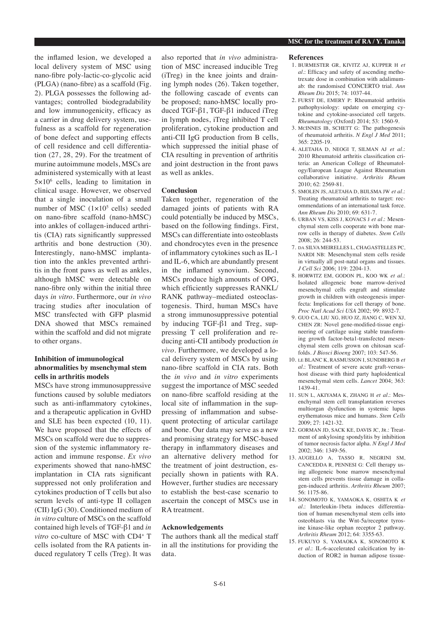the inflamed lesion, we developed a local delivery system of MSC using nano-fibre poly-lactic-co-glycolic acid (PLGA) (nano-fibre) as a scaffold (Fig. 2). PLGA possesses the following advantages; controlled biodegradability and low immunogenicity, efficacy as a carrier in drug delivery system, usefulness as a scaffold for regeneration of bone defect and supporting effects of cell residence and cell differentiation (27, 28, 29). For the treatment of murine autoimmune models, MSCs are administered systemically with at least 5×10<sup>6</sup> cells, leading to limitation in clinical usage. However, we observed that a single inoculation of a small number of MSC  $(1 \times 10^5 \text{ cells})$  seeded on nano-fibre scaffold (nano-hMSC) into ankles of collagen-induced arthritis (CIA) rats significantly suppressed arthritis and bone destruction (30). Interestingly, nano-hMSC implantation into the ankles prevented arthritis in the front paws as well as ankles, although hMSC were detectable on nano-fibre only within the initial three days *in vitro*. Furthermore, our *in vivo* tracing studies after inoculation of MSC transfected with GFP plasmid DNA showed that MSCs remained within the scaffold and did not migrate to other organs.

# **Inhibition of immunological abnormalities by msenchymal stem cells in arthritis models**

MSCs have strong immunosuppressive functions caused by soluble mediators such as anti-inflammatory cytokines, and a therapeutic application in GvHD and SLE has been expected (10, 11). We have proposed that the effects of MSCs on scaffold were due to suppression of the systemic inflammatory reaction and immune response. *Ex vivo* experiments showed that nano-hMSC implantation in CIA rats significant suppressed not only proliferation and cytokines production of T cells but also serum levels of anti-type II collagen (CII) IgG (30). Conditioned medium of *in vitro* culture of MSCs on the scaffold contained high levels of TGF-β1 and *in vitro* co-culture of MSC with CD4<sup>+</sup> T cells isolated from the RA patients induced regulatory T cells (Treg). It was

also reported that *in vivo* administration of MSC increased inducible Treg (iTreg) in the knee joints and draining lymph nodes (26). Taken together, the following cascade of events can be proposed; nano-hMSC locally produced TGF-β1, TGF-β1 induced iTreg in lymph nodes, iTreg inhibited T cell proliferation, cytokine production and anti-CII IgG production from B cells, which suppressed the initial phase of CIA resulting in prevention of arthritis and joint destruction in the front paws as well as ankles.

#### **Conclusion**

Taken together, regeneration of the damaged joints of patients with RA could potentially be induced by MSCs, based on the following findings. First, MSCs can differentiate into osteoblasts and chondrocytes even in the presence of inflammatory cytokines such as IL-1 and IL-6, which are abundantly present in the inflamed synovium. Second, MSCs produce high amounts of OPG, which efficiently suppresses RANKL/ RANK pathway–mediated osteoclastogenesis. Third, human MSCs have a strong immunosuppressive potential by inducing TGF-β1 and Treg, suppressing T cell proliferation and reducing anti-CII antibody production *in vivo*. Furthermore, we developed a local delivery system of MSCs by using nano-fibre scaffold in CIA rats. Both the *in vivo* and *in vitro* experiments suggest the importance of MSC seeded on nano-fibre scaffold residing at the local site of inflammation in the suppressing of inflammation and subsequent protecting of articular cartilage and bone. Our data may serve as a new and promising strategy for MSC-based therapy in inflammatory diseases and an alternative delivery method for the treatment of joint destruction, especially shown in patients with RA. However, further studies are necessary to establish the best-case scenario to ascertain the concept of MSCs use in RA treatment.

#### **Acknowledgements**

The authors thank all the medical staff in all the institutions for providing the data.

#### **References**

- 1. BURMESTER GR, KIVITZ AJ, KUPPER H *et al.*: Efficacy and safety of ascending methotrexate dose in combination with adalimumab: the randomised CONCERTO trial. *Ann Rheum Dis* 2015; 74: 1037-44.
- 2. FURST DE, EMERY P: Rheumatoid arthritis pathophysiology: update on emerging cytokine and cytokine-associated cell targets. *Rheumatology* (Oxford) 2014; 53: 1560-9.
- 3. McINNES IB, SCHETT G: The pathogenesis of rheumatoid arthritis. *N Engl J Med* 2011; 365: 2205-19.
- 4. ALETAHA D, NEOGI T, SILMAN AJ *et al*.: 2010 Rheumatoid arthritis classification criteria: an American College of Rheumatology/European League Against Rheumatism collaborative initiative. *Arthritis Rheum* 2010; 62: 2569-81.
- 5. SMOLEN JS, ALETAHA D, BIJLSMA JW *et al*.: Treating rheumatoid arthritis to target: recommendations of an international task force. *Ann Rheum Dis* 2010; 69: 631-7.
- 6. URBAN VS, KISS J, KOVACS J *et al*.: Mesenchymal stem cells cooperate with bone marrow cells in therapy of diabetes. *Stem Cells* 2008; 26: 244-53.
- 7. da SILVA MEIRELLES L, CHAGASTELLES PC, NARDI NB: Mesenchymal stem cells reside in virtually all post-natal organs and tissues. *J Cell Sci* 2006; 119: 2204-13.
- 8. HORWITZ EM, GODON PL, KOO WK *et al*.: Isolated allogeneic bone marrow-derived mesenchymal cells engraft and stimulate growth in children with osteogenesis imperfecta: Implications for cell therapy of bone. *Proc Natl Acad Sci USA* 2002; 99: 8932-7.
- 9. GUO CA, LIU XG, HUO JZ, JIANG C, WEN XJ, CHEN ZR: Novel gene-modified-tissue engineering of cartilage using stable transforming growth factor-beta1-transfected mesenchymal stem cells grown on chitosan scaffolds. *J Biosci Bioeng* 2007; 103: 547-56.
- 10. le BLANC K, RASMUSSON I, SUNDBERG B *et al.*: Treatment of severe acute graft-versushost disease with third party haploidentical mesenchymal stem cells. *Lancet* 2004; 363: 1439-41.
- 11. SUN L, AKIYAMA K, ZHANG H *et al*.: Mesenchymal stem cell transplantation reverses multiorgan dysfunction in systemic lupus erythematosus mice and humans. *Stem Cells* 2009; 27: 1421-32.
- 12. GORMAN JD, SACK KE, DAVIS JC, JR.: Treatment of ankylosing spondylitis by inhibition of tumor necrosis factor alpha. *N Engl J Med* 2002; 346: 1349-56.
- 13. AUGELLO A, TASSO R, NEGRINI SM, CANCEDDA R, PENNESI G: Cell therapy using allogeneic bone marrow mesenchymal stem cells prevents tissue damage in collagen-induced arthritis. *Arthritis Rheum* 2007; 56: 1175-86.
- 14. SONOMOTO K, YAMAOKA K, OSHITA K *et al*.: Interleukin-1beta induces differentiation of human mesenchymal stem cells into osteoblasts via the Wnt-5a/receptor tyrosine kinase-like orphan receptor 2 pathway. *Arthritis Rheum* 2012; 64: 3355-63.
- 15. FUKUYO S, YAMAOKA K, SONOMOTO K *et al.*: IL-6-accelerated calcification by induction of ROR2 in human adipose tissue-